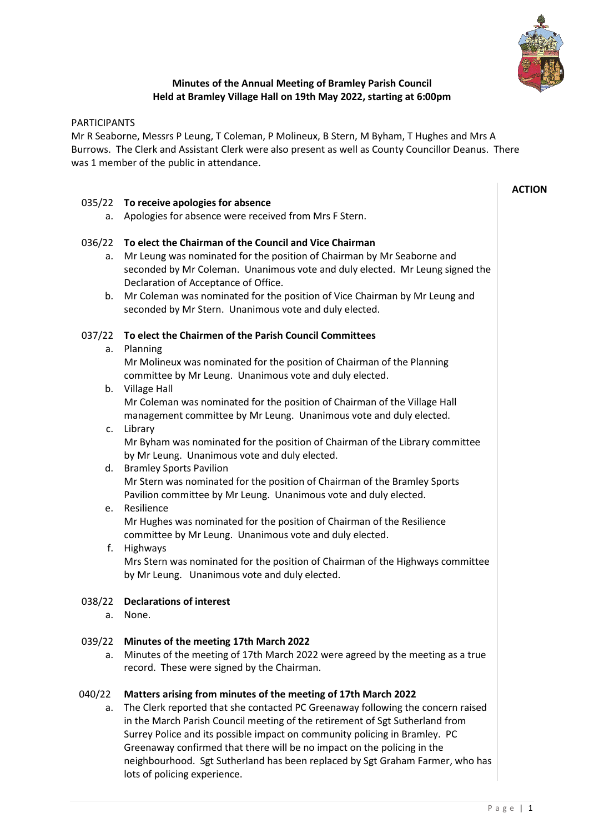

# **Minutes of the Annual Meeting of Bramley Parish Council Held at Bramley Village Hall on 19th May 2022, starting at 6:00pm**

## PARTICIPANTS

Mr R Seaborne, Messrs P Leung, T Coleman, P Molineux, B Stern, M Byham, T Hughes and Mrs A Burrows. The Clerk and Assistant Clerk were also present as well as County Councillor Deanus. There was 1 member of the public in attendance.

## 035/22 **To receive apologies for absence**

a. Apologies for absence were received from Mrs F Stern.

## 036/22 **To elect the Chairman of the Council and Vice Chairman**

- a. Mr Leung was nominated for the position of Chairman by Mr Seaborne and seconded by Mr Coleman. Unanimous vote and duly elected. Mr Leung signed the Declaration of Acceptance of Office.
- b. Mr Coleman was nominated for the position of Vice Chairman by Mr Leung and seconded by Mr Stern. Unanimous vote and duly elected.

## 037/22 **To elect the Chairmen of the Parish Council Committees**

### a. Planning

Mr Molineux was nominated for the position of Chairman of the Planning committee by Mr Leung. Unanimous vote and duly elected.

- b. Village Hall Mr Coleman was nominated for the position of Chairman of the Village Hall management committee by Mr Leung. Unanimous vote and duly elected.
- c. Library

Mr Byham was nominated for the position of Chairman of the Library committee by Mr Leung. Unanimous vote and duly elected.

d. Bramley Sports Pavilion Mr Stern was nominated for the position of Chairman of the Bramley Sports Pavilion committee by Mr Leung. Unanimous vote and duly elected.

### e. Resilience

Mr Hughes was nominated for the position of Chairman of the Resilience committee by Mr Leung. Unanimous vote and duly elected.

f. Highways

Mrs Stern was nominated for the position of Chairman of the Highways committee by Mr Leung. Unanimous vote and duly elected.

## 038/22 **Declarations of interest**

a. None.

### 039/22 **Minutes of the meeting 17th March 2022**

a. Minutes of the meeting of 17th March 2022 were agreed by the meeting as a true record. These were signed by the Chairman.

### 040/22 **Matters arising from minutes of the meeting of 17th March 2022**

a. The Clerk reported that she contacted PC Greenaway following the concern raised in the March Parish Council meeting of the retirement of Sgt Sutherland from Surrey Police and its possible impact on community policing in Bramley. PC Greenaway confirmed that there will be no impact on the policing in the neighbourhood. Sgt Sutherland has been replaced by Sgt Graham Farmer, who has lots of policing experience.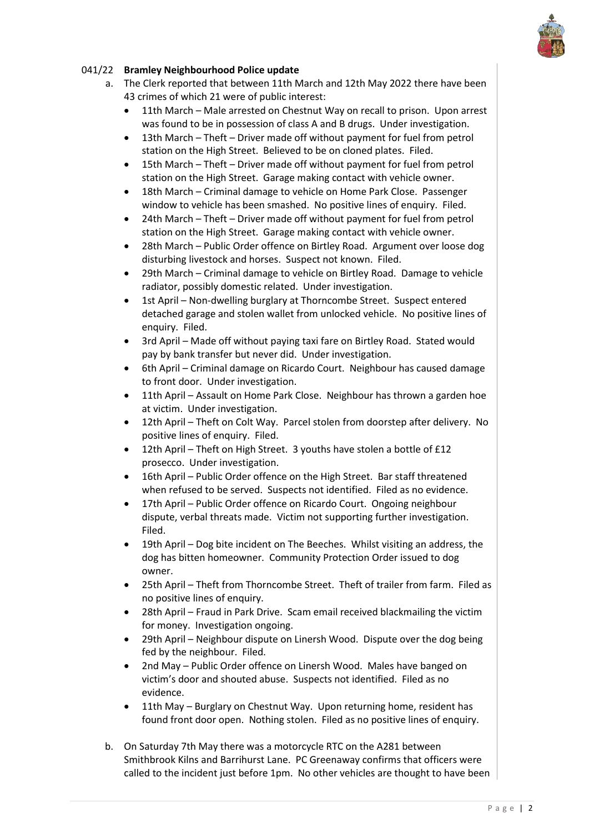

# 041/22 **Bramley Neighbourhood Police update**

- a. The Clerk reported that between 11th March and 12th May 2022 there have been 43 crimes of which 21 were of public interest:
	- 11th March Male arrested on Chestnut Way on recall to prison. Upon arrest was found to be in possession of class A and B drugs. Under investigation.
	- 13th March Theft Driver made off without payment for fuel from petrol station on the High Street. Believed to be on cloned plates. Filed.
	- 15th March Theft Driver made off without payment for fuel from petrol station on the High Street. Garage making contact with vehicle owner.
	- 18th March Criminal damage to vehicle on Home Park Close. Passenger window to vehicle has been smashed. No positive lines of enquiry. Filed.
	- 24th March Theft Driver made off without payment for fuel from petrol station on the High Street. Garage making contact with vehicle owner.
	- 28th March Public Order offence on Birtley Road. Argument over loose dog disturbing livestock and horses. Suspect not known. Filed.
	- 29th March Criminal damage to vehicle on Birtley Road. Damage to vehicle radiator, possibly domestic related. Under investigation.
	- 1st April Non-dwelling burglary at Thorncombe Street. Suspect entered detached garage and stolen wallet from unlocked vehicle. No positive lines of enquiry. Filed.
	- 3rd April Made off without paying taxi fare on Birtley Road. Stated would pay by bank transfer but never did. Under investigation.
	- 6th April Criminal damage on Ricardo Court. Neighbour has caused damage to front door. Under investigation.
	- 11th April Assault on Home Park Close. Neighbour has thrown a garden hoe at victim. Under investigation.
	- 12th April Theft on Colt Way. Parcel stolen from doorstep after delivery. No positive lines of enquiry. Filed.
	- 12th April Theft on High Street. 3 youths have stolen a bottle of £12 prosecco. Under investigation.
	- 16th April Public Order offence on the High Street. Bar staff threatened when refused to be served. Suspects not identified. Filed as no evidence.
	- 17th April Public Order offence on Ricardo Court. Ongoing neighbour dispute, verbal threats made. Victim not supporting further investigation. Filed.
	- 19th April Dog bite incident on The Beeches. Whilst visiting an address, the dog has bitten homeowner. Community Protection Order issued to dog owner.
	- 25th April Theft from Thorncombe Street. Theft of trailer from farm. Filed as no positive lines of enquiry.
	- 28th April Fraud in Park Drive. Scam email received blackmailing the victim for money. Investigation ongoing.
	- 29th April Neighbour dispute on Linersh Wood. Dispute over the dog being fed by the neighbour. Filed.
	- 2nd May Public Order offence on Linersh Wood. Males have banged on victim's door and shouted abuse. Suspects not identified. Filed as no evidence.
	- 11th May Burglary on Chestnut Way. Upon returning home, resident has found front door open. Nothing stolen. Filed as no positive lines of enquiry.
- b. On Saturday 7th May there was a motorcycle RTC on the A281 between Smithbrook Kilns and Barrihurst Lane. PC Greenaway confirms that officers were called to the incident just before 1pm. No other vehicles are thought to have been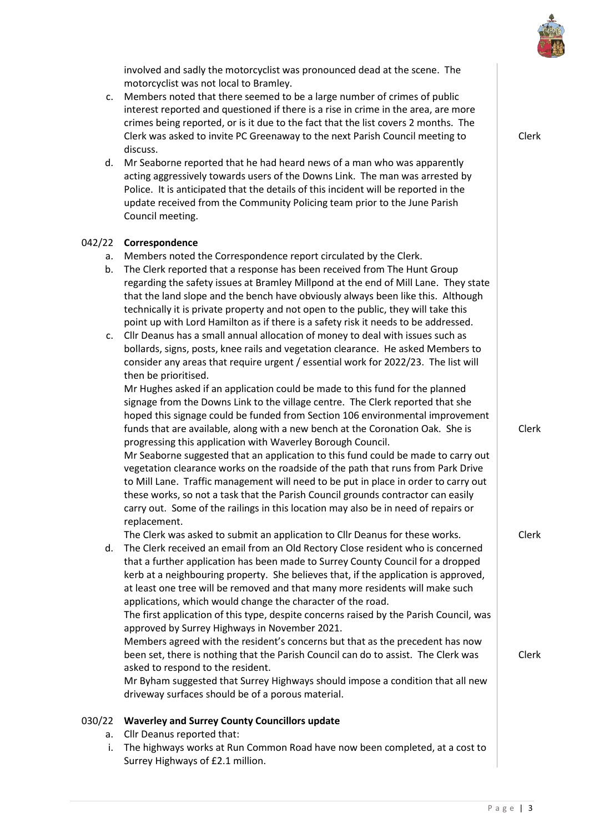

involved and sadly the motorcyclist was pronounced dead at the scene. The motorcyclist was not local to Bramley.

- c. Members noted that there seemed to be a large number of crimes of public interest reported and questioned if there is a rise in crime in the area, are more crimes being reported, or is it due to the fact that the list covers 2 months. The Clerk was asked to invite PC Greenaway to the next Parish Council meeting to discuss.
- d. Mr Seaborne reported that he had heard news of a man who was apparently acting aggressively towards users of the Downs Link. The man was arrested by Police. It is anticipated that the details of this incident will be reported in the update received from the Community Policing team prior to the June Parish Council meeting.

#### 042/22 **Correspondence**

- a. Members noted the Correspondence report circulated by the Clerk.
- b. The Clerk reported that a response has been received from The Hunt Group regarding the safety issues at Bramley Millpond at the end of Mill Lane. They state that the land slope and the bench have obviously always been like this. Although technically it is private property and not open to the public, they will take this point up with Lord Hamilton as if there is a safety risk it needs to be addressed.
- c. Cllr Deanus has a small annual allocation of money to deal with issues such as bollards, signs, posts, knee rails and vegetation clearance. He asked Members to consider any areas that require urgent / essential work for 2022/23. The list will then be prioritised.

Mr Hughes asked if an application could be made to this fund for the planned signage from the Downs Link to the village centre. The Clerk reported that she hoped this signage could be funded from Section 106 environmental improvement funds that are available, along with a new bench at the Coronation Oak. She is progressing this application with Waverley Borough Council.

Mr Seaborne suggested that an application to this fund could be made to carry out vegetation clearance works on the roadside of the path that runs from Park Drive to Mill Lane. Traffic management will need to be put in place in order to carry out these works, so not a task that the Parish Council grounds contractor can easily carry out. Some of the railings in this location may also be in need of repairs or replacement.

The Clerk was asked to submit an application to Cllr Deanus for these works.

d. The Clerk received an email from an Old Rectory Close resident who is concerned that a further application has been made to Surrey County Council for a dropped kerb at a neighbouring property. She believes that, if the application is approved, at least one tree will be removed and that many more residents will make such applications, which would change the character of the road. The first application of this type, despite concerns raised by the Parish Council, was approved by Surrey Highways in November 2021. Members agreed with the resident's concerns but that as the precedent has now been set, there is nothing that the Parish Council can do to assist. The Clerk was asked to respond to the resident. Mr Byham suggested that Surrey Highways should impose a condition that all new driveway surfaces should be of a porous material.

#### 030/22 **Waverley and Surrey County Councillors update**

- a. Cllr Deanus reported that:
- i. The highways works at Run Common Road have now been completed, at a cost to Surrey Highways of £2.1 million.

Clerk

Clerk

Clerk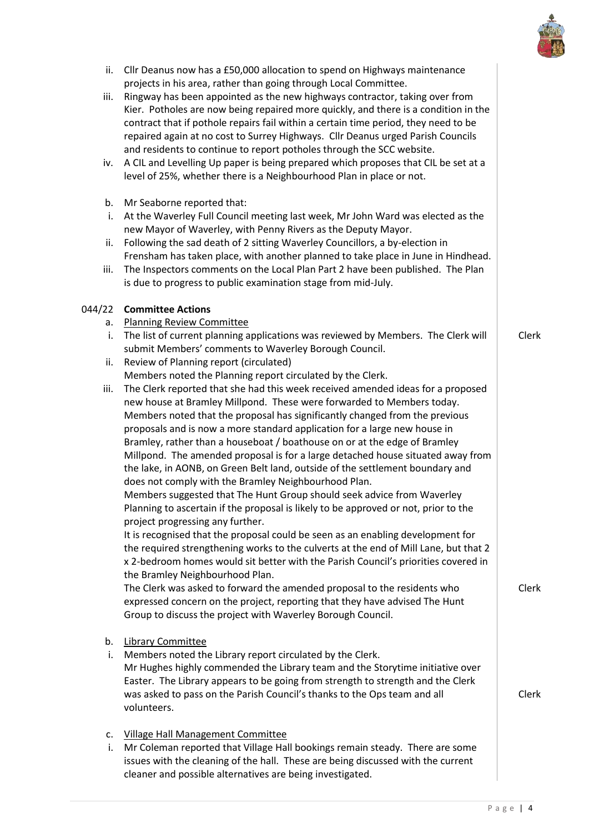

- ii. Cllr Deanus now has a £50,000 allocation to spend on Highways maintenance projects in his area, rather than going through Local Committee.
- iii. Ringway has been appointed as the new highways contractor, taking over from Kier. Potholes are now being repaired more quickly, and there is a condition in the contract that if pothole repairs fail within a certain time period, they need to be repaired again at no cost to Surrey Highways. Cllr Deanus urged Parish Councils and residents to continue to report potholes through the SCC website.
- iv. A CIL and Levelling Up paper is being prepared which proposes that CIL be set at a level of 25%, whether there is a Neighbourhood Plan in place or not.
- b. Mr Seaborne reported that:
- i. At the Waverley Full Council meeting last week, Mr John Ward was elected as the new Mayor of Waverley, with Penny Rivers as the Deputy Mayor.
- ii. Following the sad death of 2 sitting Waverley Councillors, a by-election in Frensham has taken place, with another planned to take place in June in Hindhead.
- iii. The Inspectors comments on the Local Plan Part 2 have been published. The Plan is due to progress to public examination stage from mid-July.

## 044/22 **Committee Actions**

- a. Planning Review Committee
- i. The list of current planning applications was reviewed by Members. The Clerk will submit Members' comments to Waverley Borough Council.
- ii. Review of Planning report (circulated) Members noted the Planning report circulated by the Clerk.
- iii. The Clerk reported that she had this week received amended ideas for a proposed new house at Bramley Millpond. These were forwarded to Members today. Members noted that the proposal has significantly changed from the previous proposals and is now a more standard application for a large new house in Bramley, rather than a houseboat / boathouse on or at the edge of Bramley Millpond. The amended proposal is for a large detached house situated away from the lake, in AONB, on Green Belt land, outside of the settlement boundary and does not comply with the Bramley Neighbourhood Plan.

Members suggested that The Hunt Group should seek advice from Waverley Planning to ascertain if the proposal is likely to be approved or not, prior to the project progressing any further.

It is recognised that the proposal could be seen as an enabling development for the required strengthening works to the culverts at the end of Mill Lane, but that 2 x 2-bedroom homes would sit better with the Parish Council's priorities covered in the Bramley Neighbourhood Plan.

The Clerk was asked to forward the amended proposal to the residents who expressed concern on the project, reporting that they have advised The Hunt Group to discuss the project with Waverley Borough Council.

- b. Library Committee
- i. Members noted the Library report circulated by the Clerk. Mr Hughes highly commended the Library team and the Storytime initiative over Easter. The Library appears to be going from strength to strength and the Clerk was asked to pass on the Parish Council's thanks to the Ops team and all volunteers.
- c. Village Hall Management Committee
- i. Mr Coleman reported that Village Hall bookings remain steady. There are some issues with the cleaning of the hall. These are being discussed with the current cleaner and possible alternatives are being investigated.

Clerk

Clerk

Clerk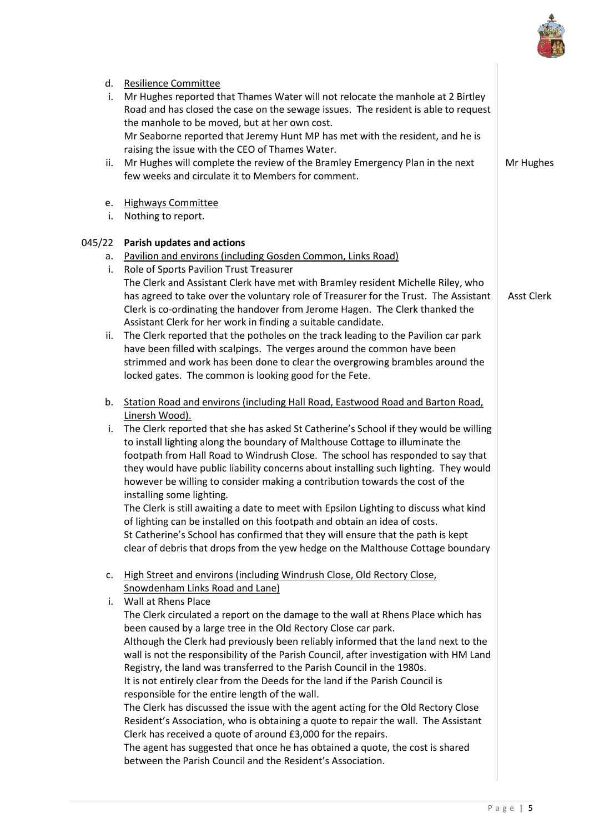

| d.<br>i. | <b>Resilience Committee</b><br>Mr Hughes reported that Thames Water will not relocate the manhole at 2 Birtley<br>Road and has closed the case on the sewage issues. The resident is able to request<br>the manhole to be moved, but at her own cost.                                                                                                                                                                                                                                                                                                                                                                                                                                                                                                                                                                                                                                                                                                            |                   |
|----------|------------------------------------------------------------------------------------------------------------------------------------------------------------------------------------------------------------------------------------------------------------------------------------------------------------------------------------------------------------------------------------------------------------------------------------------------------------------------------------------------------------------------------------------------------------------------------------------------------------------------------------------------------------------------------------------------------------------------------------------------------------------------------------------------------------------------------------------------------------------------------------------------------------------------------------------------------------------|-------------------|
| ii.      | Mr Seaborne reported that Jeremy Hunt MP has met with the resident, and he is<br>raising the issue with the CEO of Thames Water.<br>Mr Hughes will complete the review of the Bramley Emergency Plan in the next<br>few weeks and circulate it to Members for comment.                                                                                                                                                                                                                                                                                                                                                                                                                                                                                                                                                                                                                                                                                           | Mr Hughes         |
| e.<br>i. | <b>Highways Committee</b><br>Nothing to report.                                                                                                                                                                                                                                                                                                                                                                                                                                                                                                                                                                                                                                                                                                                                                                                                                                                                                                                  |                   |
| 045/22   | Parish updates and actions                                                                                                                                                                                                                                                                                                                                                                                                                                                                                                                                                                                                                                                                                                                                                                                                                                                                                                                                       |                   |
| а.       | Pavilion and environs (including Gosden Common, Links Road)                                                                                                                                                                                                                                                                                                                                                                                                                                                                                                                                                                                                                                                                                                                                                                                                                                                                                                      |                   |
| i.       | Role of Sports Pavilion Trust Treasurer                                                                                                                                                                                                                                                                                                                                                                                                                                                                                                                                                                                                                                                                                                                                                                                                                                                                                                                          |                   |
|          | The Clerk and Assistant Clerk have met with Bramley resident Michelle Riley, who<br>has agreed to take over the voluntary role of Treasurer for the Trust. The Assistant<br>Clerk is co-ordinating the handover from Jerome Hagen. The Clerk thanked the<br>Assistant Clerk for her work in finding a suitable candidate.                                                                                                                                                                                                                                                                                                                                                                                                                                                                                                                                                                                                                                        | <b>Asst Clerk</b> |
| ii.      | The Clerk reported that the potholes on the track leading to the Pavilion car park<br>have been filled with scalpings. The verges around the common have been<br>strimmed and work has been done to clear the overgrowing brambles around the<br>locked gates. The common is looking good for the Fete.                                                                                                                                                                                                                                                                                                                                                                                                                                                                                                                                                                                                                                                          |                   |
| b.       | Station Road and environs (including Hall Road, Eastwood Road and Barton Road,<br>Linersh Wood).                                                                                                                                                                                                                                                                                                                                                                                                                                                                                                                                                                                                                                                                                                                                                                                                                                                                 |                   |
| i.       | The Clerk reported that she has asked St Catherine's School if they would be willing<br>to install lighting along the boundary of Malthouse Cottage to illuminate the<br>footpath from Hall Road to Windrush Close. The school has responded to say that<br>they would have public liability concerns about installing such lighting. They would<br>however be willing to consider making a contribution towards the cost of the<br>installing some lighting.<br>The Clerk is still awaiting a date to meet with Epsilon Lighting to discuss what kind<br>of lighting can be installed on this footpath and obtain an idea of costs.                                                                                                                                                                                                                                                                                                                             |                   |
|          | St Catherine's School has confirmed that they will ensure that the path is kept<br>clear of debris that drops from the yew hedge on the Malthouse Cottage boundary                                                                                                                                                                                                                                                                                                                                                                                                                                                                                                                                                                                                                                                                                                                                                                                               |                   |
| c.       | High Street and environs (including Windrush Close, Old Rectory Close,<br>Snowdenham Links Road and Lane)                                                                                                                                                                                                                                                                                                                                                                                                                                                                                                                                                                                                                                                                                                                                                                                                                                                        |                   |
| i.       | Wall at Rhens Place<br>The Clerk circulated a report on the damage to the wall at Rhens Place which has<br>been caused by a large tree in the Old Rectory Close car park.<br>Although the Clerk had previously been reliably informed that the land next to the<br>wall is not the responsibility of the Parish Council, after investigation with HM Land<br>Registry, the land was transferred to the Parish Council in the 1980s.<br>It is not entirely clear from the Deeds for the land if the Parish Council is<br>responsible for the entire length of the wall.<br>The Clerk has discussed the issue with the agent acting for the Old Rectory Close<br>Resident's Association, who is obtaining a quote to repair the wall. The Assistant<br>Clerk has received a quote of around £3,000 for the repairs.<br>The agent has suggested that once he has obtained a quote, the cost is shared<br>between the Parish Council and the Resident's Association. |                   |
|          |                                                                                                                                                                                                                                                                                                                                                                                                                                                                                                                                                                                                                                                                                                                                                                                                                                                                                                                                                                  |                   |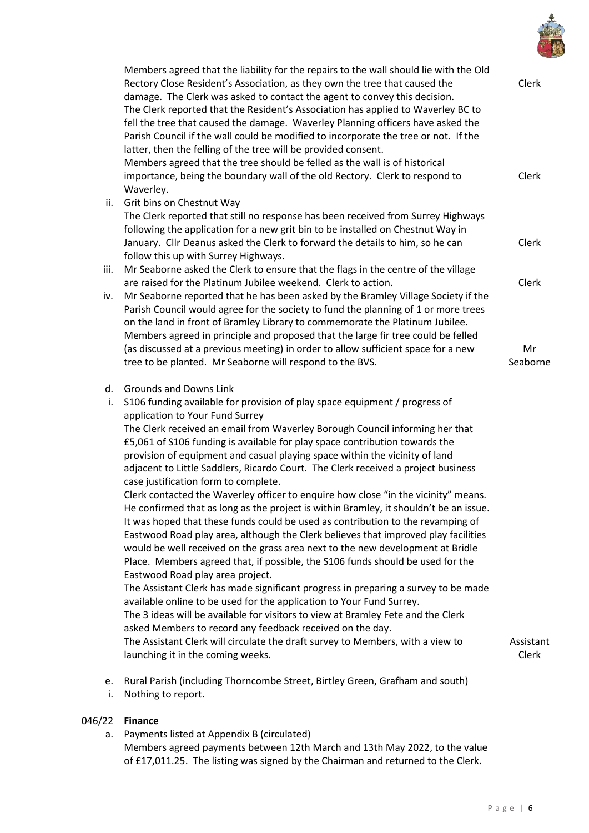

|        | Members agreed that the liability for the repairs to the wall should lie with the Old<br>Rectory Close Resident's Association, as they own the tree that caused the    | Clerk     |
|--------|------------------------------------------------------------------------------------------------------------------------------------------------------------------------|-----------|
|        | damage. The Clerk was asked to contact the agent to convey this decision.                                                                                              |           |
|        | The Clerk reported that the Resident's Association has applied to Waverley BC to                                                                                       |           |
|        | fell the tree that caused the damage. Waverley Planning officers have asked the<br>Parish Council if the wall could be modified to incorporate the tree or not. If the |           |
|        | latter, then the felling of the tree will be provided consent.                                                                                                         |           |
|        | Members agreed that the tree should be felled as the wall is of historical                                                                                             |           |
|        | importance, being the boundary wall of the old Rectory. Clerk to respond to                                                                                            | Clerk     |
|        | Waverley.                                                                                                                                                              |           |
| ii.    | Grit bins on Chestnut Way                                                                                                                                              |           |
|        | The Clerk reported that still no response has been received from Surrey Highways                                                                                       |           |
|        | following the application for a new grit bin to be installed on Chestnut Way in                                                                                        |           |
|        | January. Cllr Deanus asked the Clerk to forward the details to him, so he can                                                                                          | Clerk     |
| iii.   | follow this up with Surrey Highways.<br>Mr Seaborne asked the Clerk to ensure that the flags in the centre of the village                                              |           |
|        | are raised for the Platinum Jubilee weekend. Clerk to action.                                                                                                          | Clerk     |
| iv.    | Mr Seaborne reported that he has been asked by the Bramley Village Society if the                                                                                      |           |
|        | Parish Council would agree for the society to fund the planning of 1 or more trees                                                                                     |           |
|        | on the land in front of Bramley Library to commemorate the Platinum Jubilee.                                                                                           |           |
|        | Members agreed in principle and proposed that the large fir tree could be felled                                                                                       |           |
|        | (as discussed at a previous meeting) in order to allow sufficient space for a new                                                                                      | Mr        |
|        | tree to be planted. Mr Seaborne will respond to the BVS.                                                                                                               | Seaborne  |
| d.     | <b>Grounds and Downs Link</b>                                                                                                                                          |           |
| i.     | S106 funding available for provision of play space equipment / progress of                                                                                             |           |
|        | application to Your Fund Surrey                                                                                                                                        |           |
|        | The Clerk received an email from Waverley Borough Council informing her that                                                                                           |           |
|        | £5,061 of S106 funding is available for play space contribution towards the                                                                                            |           |
|        | provision of equipment and casual playing space within the vicinity of land                                                                                            |           |
|        | adjacent to Little Saddlers, Ricardo Court. The Clerk received a project business<br>case justification form to complete.                                              |           |
|        | Clerk contacted the Waverley officer to enquire how close "in the vicinity" means.                                                                                     |           |
|        | He confirmed that as long as the project is within Bramley, it shouldn't be an issue.                                                                                  |           |
|        | It was hoped that these funds could be used as contribution to the revamping of                                                                                        |           |
|        | Eastwood Road play area, although the Clerk believes that improved play facilities                                                                                     |           |
|        | would be well received on the grass area next to the new development at Bridle                                                                                         |           |
|        | Place. Members agreed that, if possible, the S106 funds should be used for the                                                                                         |           |
|        | Eastwood Road play area project.                                                                                                                                       |           |
|        | The Assistant Clerk has made significant progress in preparing a survey to be made<br>available online to be used for the application to Your Fund Surrey.             |           |
|        | The 3 ideas will be available for visitors to view at Bramley Fete and the Clerk                                                                                       |           |
|        | asked Members to record any feedback received on the day.                                                                                                              |           |
|        | The Assistant Clerk will circulate the draft survey to Members, with a view to                                                                                         | Assistant |
|        | launching it in the coming weeks.                                                                                                                                      | Clerk     |
| e.     | Rural Parish (including Thorncombe Street, Birtley Green, Grafham and south)                                                                                           |           |
| i.     | Nothing to report.                                                                                                                                                     |           |
|        |                                                                                                                                                                        |           |
| 046/22 | <b>Finance</b>                                                                                                                                                         |           |
| a.     | Payments listed at Appendix B (circulated)<br>Members agreed payments between 12th March and 13th May 2022, to the value                                               |           |

of £17,011.25. The listing was signed by the Chairman and returned to the Clerk.